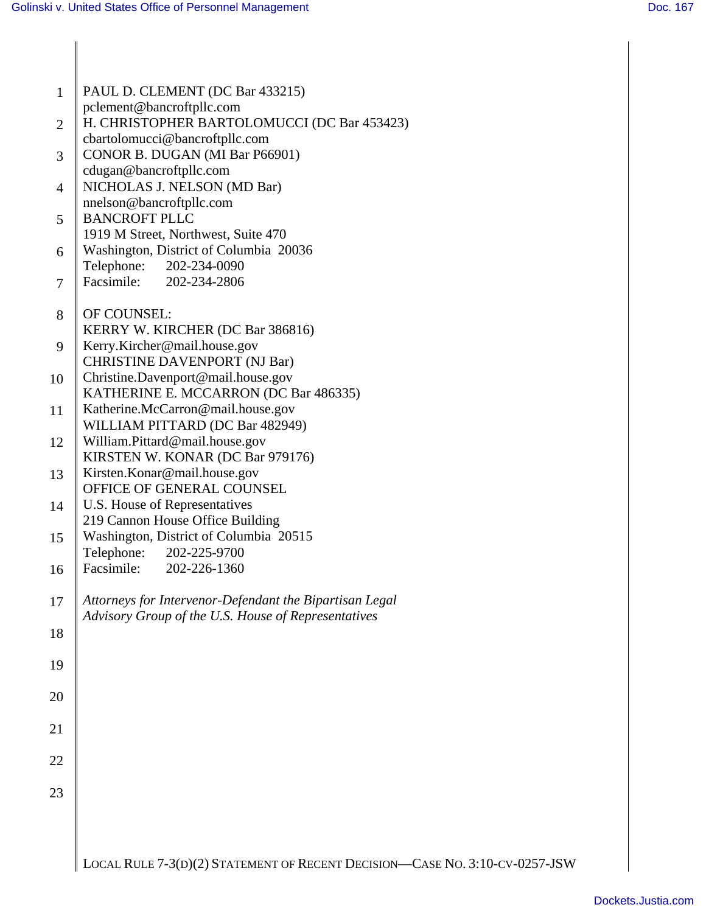| $\mathbf{1}$   | PAUL D. CLEMENT (DC Bar 433215)                                                                                |
|----------------|----------------------------------------------------------------------------------------------------------------|
|                | pclement@bancroftpllc.com                                                                                      |
| $\overline{2}$ | H. CHRISTOPHER BARTOLOMUCCI (DC Bar 453423)<br>cbartolomucci@bancroftpllc.com                                  |
| 3              | CONOR B. DUGAN (MI Bar P66901)                                                                                 |
|                | cdugan@bancroftpllc.com                                                                                        |
| 4              | NICHOLAS J. NELSON (MD Bar)                                                                                    |
| 5              | nnelson@bancroftpllc.com<br><b>BANCROFT PLLC</b>                                                               |
|                | 1919 M Street, Northwest, Suite 470                                                                            |
| 6              | Washington, District of Columbia 20036                                                                         |
|                | Telephone:<br>202-234-0090<br>Facsimile: 202-234-2806                                                          |
| 7              |                                                                                                                |
| 8              | OF COUNSEL:                                                                                                    |
|                | KERRY W. KIRCHER (DC Bar 386816)                                                                               |
| 9              | Kerry.Kircher@mail.house.gov<br><b>CHRISTINE DAVENPORT (NJ Bar)</b>                                            |
| 10             | Christine.Davenport@mail.house.gov                                                                             |
|                | KATHERINE E. MCCARRON (DC Bar 486335)                                                                          |
| 11             | Katherine.McCarron@mail.house.gov<br>WILLIAM PITTARD (DC Bar 482949)                                           |
| 12             | William.Pittard@mail.house.gov                                                                                 |
|                | KIRSTEN W. KONAR (DC Bar 979176)                                                                               |
| 13             | Kirsten.Konar@mail.house.gov<br>OFFICE OF GENERAL COUNSEL                                                      |
| 14             | U.S. House of Representatives                                                                                  |
|                | 219 Cannon House Office Building                                                                               |
| 15             | Washington, District of Columbia 20515<br>Telephone:<br>202-225-9700                                           |
| 16             | Facsimile: 202-226-1360                                                                                        |
|                |                                                                                                                |
| 17             | Attorneys for Intervenor-Defendant the Bipartisan Legal<br>Advisory Group of the U.S. House of Representatives |
| 18             |                                                                                                                |
|                |                                                                                                                |
| 19             |                                                                                                                |
| 20             |                                                                                                                |
|                |                                                                                                                |
| 21             |                                                                                                                |
| 22             |                                                                                                                |
|                |                                                                                                                |
| 23             |                                                                                                                |
|                |                                                                                                                |
|                |                                                                                                                |
|                | LOCAL RULE 7-3(D)(2) STATEMENT OF RECENT DECISION-CASE NO. 3:10-CV-0257-JSW                                    |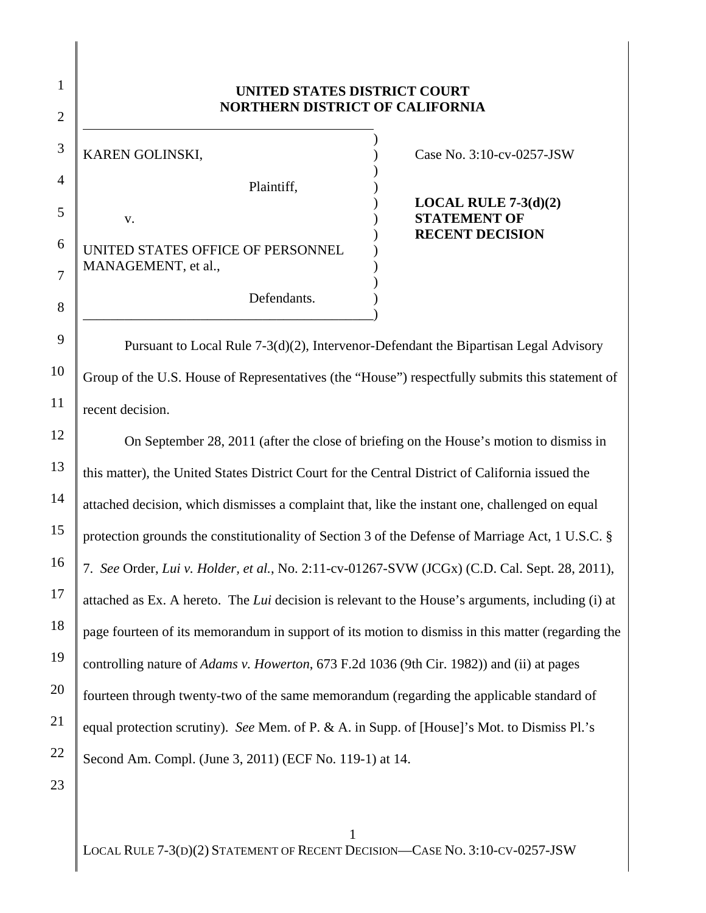## **UNITED STATES DISTRICT COURT NORTHERN DISTRICT OF CALIFORNIA**

 $)$ KAREN GOLINSKI,  $\qquad \qquad$  (ase No. 3:10-cv-0257-JSW)  $)$ Plaintiff, ) v. **STATEMENT OF** UNITED STATES OFFICE OF PERSONNEL MANAGEMENT, et al.,  $)$ 

\_\_\_\_\_\_\_\_\_\_\_\_\_\_\_\_\_\_\_\_\_\_\_\_\_\_\_\_\_\_\_\_\_\_\_\_\_\_\_\_\_\_)

 ) **LOCAL RULE 7-3(d)(2)** ) **RECENT DECISION** 

Pursuant to Local Rule 7-3(d)(2), Intervenor-Defendant the Bipartisan Legal Advisory Group of the U.S. House of Representatives (the "House") respectfully submits this statement of recent decision.

Defendants.

On September 28, 2011 (after the close of briefing on the House's motion to dismiss in this matter), the United States District Court for the Central District of California issued the attached decision, which dismisses a complaint that, like the instant one, challenged on equal protection grounds the constitutionality of Section 3 of the Defense of Marriage Act, 1 U.S.C. § 7. *See* Order, *Lui v. Holder, et al.*, No. 2:11-cv-01267-SVW (JCGx) (C.D. Cal. Sept. 28, 2011), attached as Ex. A hereto. The *Lui* decision is relevant to the House's arguments, including (i) at page fourteen of its memorandum in support of its motion to dismiss in this matter (regarding the controlling nature of *Adams v. Howerton*, 673 F.2d 1036 (9th Cir. 1982)) and (ii) at pages fourteen through twenty-two of the same memorandum (regarding the applicable standard of equal protection scrutiny). *See* Mem. of P. & A. in Supp. of [House]'s Mot. to Dismiss Pl.'s Second Am. Compl. (June 3, 2011) (ECF No. 119-1) at 14.

23

1

2

 $\overline{a}$ 

3

4

5

6

7

8

9

10

11

12

13

14

15

16

17

18

19

20

21

22